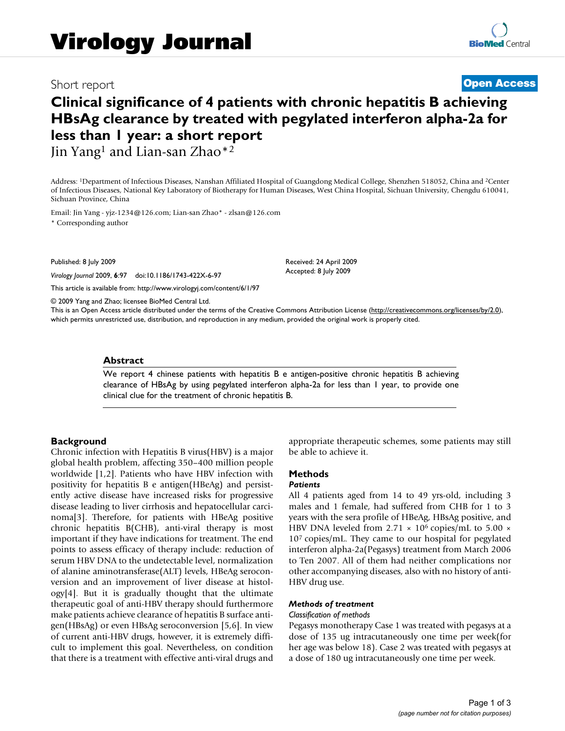# Short report **[Open Access](http://www.biomedcentral.com/info/about/charter/)**

# **Clinical significance of 4 patients with chronic hepatitis B achieving HBsAg clearance by treated with pegylated interferon alpha-2a for less than 1 year: a short report**

Jin Yang<sup>1</sup> and Lian-san Zhao<sup>\*2</sup>

Address: 1Department of Infectious Diseases, Nanshan Affiliated Hospital of Guangdong Medical College, Shenzhen 518052, China and 2Center of Infectious Diseases, National Key Laboratory of Biotherapy for Human Diseases, West China Hospital, Sichuan University, Chengdu 610041, Sichuan Province, China

Email: Jin Yang - yjz-1234@126.com; Lian-san Zhao\* - zlsan@126.com

\* Corresponding author

Published: 8 July 2009

*Virology Journal* 2009, **6**:97 doi:10.1186/1743-422X-6-97

[This article is available from: http://www.virologyj.com/content/6/1/97](http://www.virologyj.com/content/6/1/97)

© 2009 Yang and Zhao; licensee BioMed Central Ltd.

This is an Open Access article distributed under the terms of the Creative Commons Attribution License [\(http://creativecommons.org/licenses/by/2.0\)](http://creativecommons.org/licenses/by/2.0), which permits unrestricted use, distribution, and reproduction in any medium, provided the original work is properly cited.

Received: 24 April 2009 Accepted: 8 July 2009

### **Abstract**

We report 4 chinese patients with hepatitis B e antigen-positive chronic hepatitis B achieving clearance of HBsAg by using pegylated interferon alpha-2a for less than 1 year, to provide one clinical clue for the treatment of chronic hepatitis B.

# **Background**

Chronic infection with Hepatitis B virus(HBV) is a major global health problem, affecting 350–400 million people worldwide [1,2]. Patients who have HBV infection with positivity for hepatitis B e antigen(HBeAg) and persistently active disease have increased risks for progressive disease leading to liver cirrhosis and hepatocellular carcinoma[3]. Therefore, for patients with HBeAg positive chronic hepatitis B(CHB), anti-viral therapy is most important if they have indications for treatment. The end points to assess efficacy of therapy include: reduction of serum HBV DNA to the undetectable level, normalization of alanine aminotransferase(ALT) levels, HBeAg seroconversion and an improvement of liver disease at histology[4]. But it is gradually thought that the ultimate therapeutic goal of anti-HBV therapy should furthermore make patients achieve clearance of hepatitis B surface antigen(HBsAg) or even HBsAg seroconversion [5,6]. In view of current anti-HBV drugs, however, it is extremely difficult to implement this goal. Nevertheless, on condition that there is a treatment with effective anti-viral drugs and appropriate therapeutic schemes, some patients may still be able to achieve it.

# **Methods**

# *Patients*

All 4 patients aged from 14 to 49 yrs-old, including 3 males and 1 female, had suffered from CHB for 1 to 3 years with the sera profile of HBeAg, HBsAg positive, and HBV DNA leveled from 2.71  $\times$  10<sup>6</sup> copies/mL to 5.00  $\times$ 107 copies/mL. They came to our hospital for pegylated interferon alpha-2a(Pegasys) treatment from March 2006 to Ten 2007. All of them had neither complications nor other accompanying diseases, also with no history of anti-HBV drug use.

### *Methods of treatment*

#### *Classification of methods*

Pegasys monotherapy Case 1 was treated with pegasys at a dose of 135 ug intracutaneously one time per week(for her age was below 18). Case 2 was treated with pegasys at a dose of 180 ug intracutaneously one time per week.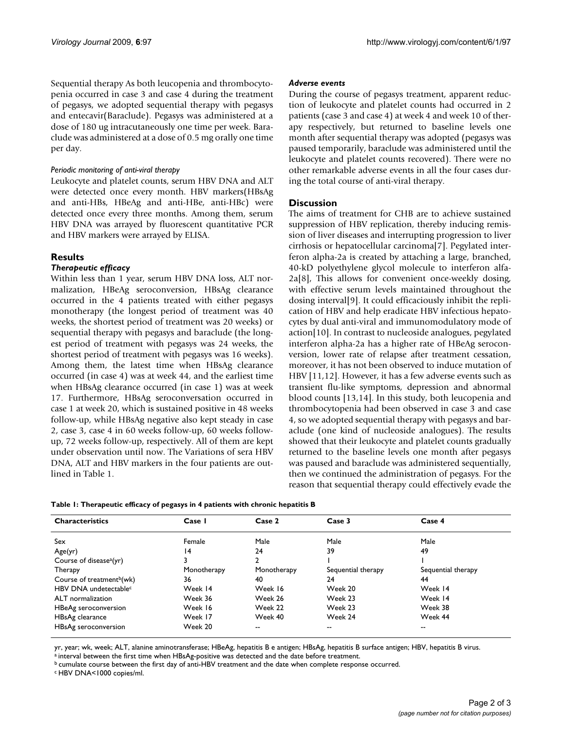Sequential therapy As both leucopenia and thrombocytopenia occurred in case 3 and case 4 during the treatment of pegasys, we adopted sequential therapy with pegasys and entecavir(Baraclude). Pegasys was administered at a dose of 180 ug intracutaneously one time per week. Baraclude was administered at a dose of 0.5 mg orally one time per day.

# *Periodic monitoring of anti-viral therapy*

Leukocyte and platelet counts, serum HBV DNA and ALT were detected once every month. HBV markers(HBsAg and anti-HBs, HBeAg and anti-HBe, anti-HBc) were detected once every three months. Among them, serum HBV DNA was arrayed by fluorescent quantitative PCR and HBV markers were arrayed by ELISA.

# **Results**

# *Therapeutic efficacy*

Within less than 1 year, serum HBV DNA loss, ALT normalization, HBeAg seroconversion, HBsAg clearance occurred in the 4 patients treated with either pegasys monotherapy (the longest period of treatment was 40 weeks, the shortest period of treatment was 20 weeks) or sequential therapy with pegasys and baraclude (the longest period of treatment with pegasys was 24 weeks, the shortest period of treatment with pegasys was 16 weeks). Among them, the latest time when HBsAg clearance occurred (in case 4) was at week 44, and the earliest time when HBsAg clearance occurred (in case 1) was at week 17. Furthermore, HBsAg seroconversation occurred in case 1 at week 20, which is sustained positive in 48 weeks follow-up, while HBsAg negative also kept steady in case 2, case 3, case 4 in 60 weeks follow-up, 60 weeks followup, 72 weeks follow-up, respectively. All of them are kept under observation until now. The Variations of sera HBV DNA, ALT and HBV markers in the four patients are outlined in Table 1.

# *Adverse events*

During the course of pegasys treatment, apparent reduction of leukocyte and platelet counts had occurred in 2 patients (case 3 and case 4) at week 4 and week 10 of therapy respectively, but returned to baseline levels one month after sequential therapy was adopted (pegasys was paused temporarily, baraclude was administered until the leukocyte and platelet counts recovered). There were no other remarkable adverse events in all the four cases during the total course of anti-viral therapy.

# **Discussion**

The aims of treatment for CHB are to achieve sustained suppression of HBV replication, thereby inducing remission of liver diseases and interrupting progression to liver cirrhosis or hepatocellular carcinoma[7]. Pegylated interferon alpha-2a is created by attaching a large, branched, 40-kD polyethylene glycol molecule to interferon alfa-2a[8], This allows for convenient once-weekly dosing, with effective serum levels maintained throughout the dosing interval[9]. It could efficaciously inhibit the replication of HBV and help eradicate HBV infectious hepatocytes by dual anti-viral and immunomodulatory mode of action[10]. In contrast to nucleoside analogues, pegylated interferon alpha-2a has a higher rate of HBeAg seroconversion, lower rate of relapse after treatment cessation, moreover, it has not been observed to induce mutation of HBV [11,12]. However, it has a few adverse events such as transient flu-like symptoms, depression and abnormal blood counts [13,14]. In this study, both leucopenia and thrombocytopenia had been observed in case 3 and case 4, so we adopted sequential therapy with pegasys and baraclude (one kind of nucleoside analogues). The results showed that their leukocyte and platelet counts gradually returned to the baseline levels one month after pegasys was paused and baraclude was administered sequentially, then we continued the administration of pegasys. For the reason that sequential therapy could effectively evade the

|  |  | Table 1: Therapeutic efficacy of pegasys in 4 patients with chronic hepatitis <b>B</b> |  |
|--|--|----------------------------------------------------------------------------------------|--|
|  |  |                                                                                        |  |

| <b>Characteristics</b>                | Case I      | Case 2      | Case 3             | Case 4             |  |
|---------------------------------------|-------------|-------------|--------------------|--------------------|--|
|                                       |             |             |                    |                    |  |
| Sex                                   | Female      | Male        | Male               | Male               |  |
| Age(yr)                               | 14          | 24          | 39                 | 49                 |  |
| Course of disease <sup>a</sup> (yr)   |             |             |                    |                    |  |
| Therapy                               | Monotherapy | Monotherapy | Sequential therapy | Sequential therapy |  |
| Course of treatment <sup>b</sup> (wk) | 36          | 40          | 24                 | 44                 |  |
| HBV DNA undetectable <sup>c</sup>     | Week 14     | Week 16     | Week 20            | Week 14            |  |
| ALT normalization                     | Week 36     | Week 26     | Week 23            | Week 14            |  |
| HBeAg seroconversion                  | Week 16     | Week 22     | Week 23            | Week 38            |  |
| HBsAg clearance                       | Week 17     | Week 40     | Week 24            | Week 44            |  |
| HBsAg seroconversion                  | Week 20     | --          | --                 | $- -$              |  |

yr, year; wk, week; ALT, alanine aminotransferase; HBeAg, hepatitis B e antigen; HBsAg, hepatitis B surface antigen; HBV, hepatitis B virus.

a interval between the first time when HBsAg-positive was detected and the date before treatment.

b cumulate course between the first day of anti-HBV treatment and the date when complete response occurred.

c HBV DNA<1000 copies/ml.